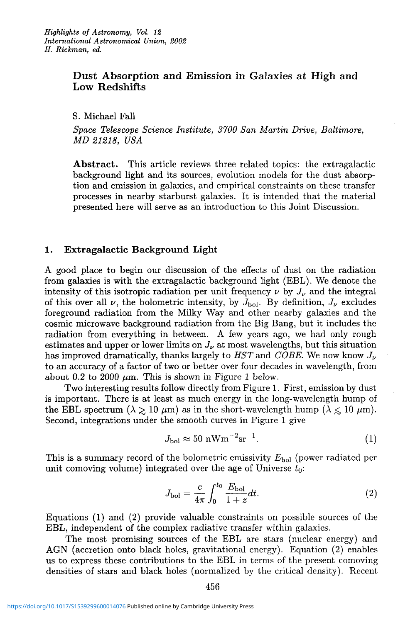# **Dust Absorption and Emission in Galaxies at High and Low Redshifts**

S. Michael Fall

*Space Telescope Science Institute, 3700 San Martin Drive, Baltimore, MD 21218, USA* 

**Abstract.** This article reviews three related topics: the extragalactic background light and its sources, evolution models for the dust absorption and emission in galaxies, and empirical constraints on these transfer processes in nearby starburst galaxies. It is intended that the material presented here will serve as an introduction to this Joint Discussion.

## **1. Extragalactic Background Light**

A good place to begin our discussion of the effects of dust on the radiation from galaxies is with the extragalactic background light (EBL). We denote the intensity of this isotropic radiation per unit frequency  $\nu$  by  $J_{\nu}$  and the integral of this over all  $\nu$ , the bolometric intensity, by  $J_{\text{bol}}$ . By definition,  $J_{\nu}$  excludes foreground radiation from the Milky Way and other nearby galaxies and the cosmic microwave background radiation from the Big Bang, but it includes the radiation from everything in between. A few years ago, we had only rough estimates and upper or lower limits on  $J_{\nu}$  at most wavelengths, but this situation has improved dramatically, thanks largely to  $HST$  and  $COBE$ . We now know  $J_{\nu}$ to an accuracy of a factor of two or better over four decades in wavelength, from about 0.2 to 2000  $\mu$ m. This is shown in Figure 1 below.

Two interesting results follow directly from Figure 1. First, emission by dust is important. There is at least as much energy in the long-wavelength hump of the EBL spectrum ( $\lambda \geq 10 \ \mu \text{m}$ ) as in the short-wavelength hump ( $\lambda \leq 10 \ \mu \text{m}$ ). Second, integrations under the smooth curves in Figure 1 give

$$
J_{\text{bol}} \approx 50 \text{ nWm}^{-2}\text{sr}^{-1}.\tag{1}
$$

This is a summary record of the bolometric emissivity *E\,0\* (power radiated per unit comoving volume) integrated over the age of Universe *to:* 

$$
J_{\text{bol}} = \frac{c}{4\pi} \int_0^{t_0} \frac{E_{\text{bol}}}{1+z} dt.
$$
 (2)

Equations (1) and (2) provide valuable constraints on possible sources of the EBL, independent of the complex radiative transfer within galaxies.

The most promising sources of the EBL are stars (nuclear energy) and AGN (accretion onto black holes, gravitational energy). Equation (2) enables us to express these contributions to the EBL in terms of the present comoving densities of stars and black holes (normalized by the critical density). Recent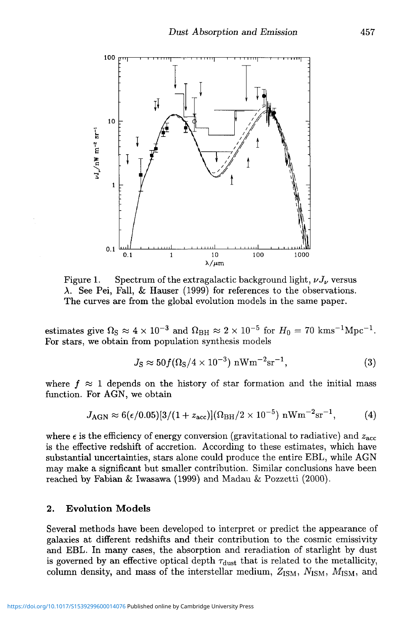

Figure 1. Spectrum of the extragalactic background light,  $\nu J_{\nu}$  versus A. See Pei, Fall, & Hauser (1999) for references to the observations. The curves are from the global evolution models in the same paper.

estimates give  $\Omega$ <sub>S</sub>  $\approx 4 \times 10^{-3}$  and  $\Omega$ <sub>BH</sub>  $\approx 2 \times 10^{-5}$  for  $H_0 = 70$  kms<sup>-1</sup>Mpc<sup>-1</sup>. For stars, we obtain from population synthesis models

$$
J_{\rm S} \approx 50 f(\Omega_{\rm S}/4 \times 10^{-3}) \,\mathrm{nWm^{-2}sr^{-1}},\tag{3}
$$

where  $f \approx 1$  depends on the history of star formation and the initial mass function. For AGN, we obtain

$$
J_{\rm AGN} \approx 6(\epsilon/0.05)[3/(1+z_{\rm acc})](\Omega_{\rm BH}/2 \times 10^{-5}) \,\,{\rm nWm^{-2}sr^{-1}}, \qquad \quad (4)
$$

where  $\epsilon$  is the efficiency of energy conversion (gravitational to radiative) and  $z_{\text{acc}}$ is the effective redshift of accretion. According to these estimates, which have substantial uncertainties, stars alone could produce the entire EBL, while AGN may make a significant but smaller contribution. Similar conclusions have been reached by Fabian & Iwasawa (1999) and Madau & Pozzetti (2000).

#### **2. Evolution Models**

Several methods have been developed to interpret or predict the appearance of galaxies at different redshifts and their contribution to the cosmic emissivity and EBL. In many cases, the absorption and reradiation of starlight by dust is governed by an effective optical depth  $\tau_{\text{dust}}$  that is related to the metallicity, column density, and mass of the interstellar medium,  $Z_{\rm ISM}$ ,  $N_{\rm ISM}$ ,  $M_{\rm ISM}$ , and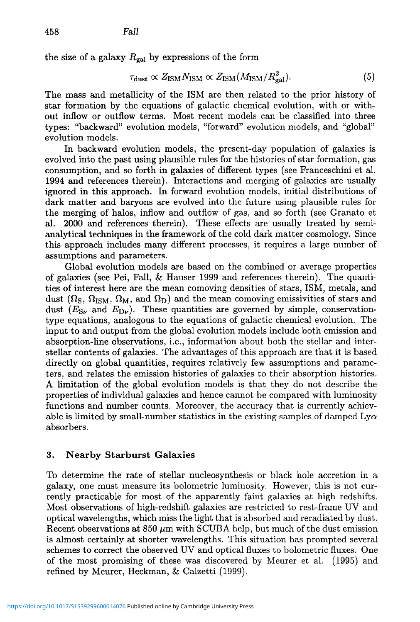the size of a galaxy  $R_{gal}$  by expressions of the form

$$
\tau_{\rm dust} \propto Z_{\rm ISM} N_{\rm ISM} \propto Z_{\rm ISM} (M_{\rm ISM}/R_{\rm gal}^2). \tag{5}
$$

The mass and metallicity of the ISM are then related to the prior history of star formation by the equations of galactic chemical evolution, with or without inflow or outflow terms. Most recent models can be classified into three types: "backward" evolution models, "forward" evolution models, and "global" evolution models.

In backward evolution models, the present-day population of galaxies is evolved into the past using plausible rules for the histories of star formation, gas consumption, and so forth in galaxies of different types (see Pranceschini et al. 1994 and references therein). Interactions and merging of galaxies are usually ignored in this approach. In forward evolution models, initial distributions of dark matter and baryons are evolved into the future using plausible rules for the merging of halos, inflow and outflow of gas, and so forth (see Granato et al. 2000 and references therein). These effects are usually treated by semianalytical techniques in the framework of the cold dark matter cosmology. Since this approach includes many different processes, it requires a large number of assumptions and parameters.

Global evolution models are based on the combined or average properties of galaxies (see Pei, Fall, & Hauser 1999 and references therein). The quantities of interest here are the mean comoving densities of stars, ISM, metals, and dust  $(\Omega_{\rm S}, \Omega_{\rm ISM}, \Omega_{\rm M}, \text{ and } \Omega_{\rm D})$  and the mean comoving emissivities of stars and dust  $(E_{S_{\nu}}$  and  $E_{D_{\nu}}$ ). These quantities are governed by simple, conservationtype equations, analogous to the equations of galactic chemical evolution. The input to and output from the global evolution models include both emission and absorption-line observations, i.e., information about both the stellar and interstellar contents of galaxies. The advantages of this approach are that it is based directly on global quantities, requires relatively few assumptions and parameters, and relates the emission histories of galaxies to their absorption histories. A limitation of the global evolution models is that they do not describe the properties of individual galaxies and hence cannot be compared with luminosity functions and number counts. Moreover, the accuracy that is currently achievable is limited by small-number statistics in the existing samples of damped  $Ly\alpha$ absorbers.

## **3. Nearby Starburst Galaxies**

To determine the rate of stellar nucleosynthesis or black hole accretion in a galaxy, one must measure its bolometric luminosity. However, this is not currently practicable for most of the apparently faint galaxies at high redshifts. Most observations of high-redshift galaxies are restricted to rest-frame UV and optical wavelengths, which miss the light that is absorbed and reradiated by dust. Recent observations at  $850 \mu m$  with SCUBA help, but much of the dust emission is almost certainly at shorter wavelengths. This situation has prompted several schemes to correct the observed UV and optical fluxes to bolometric fluxes. One of the most promising of these was discovered by Meurer et al. (1995) and refined by Meurer, Heckman, & Calzetti (1999).

<https://doi.org/10.1017/S1539299600014076>Published online by Cambridge University Press